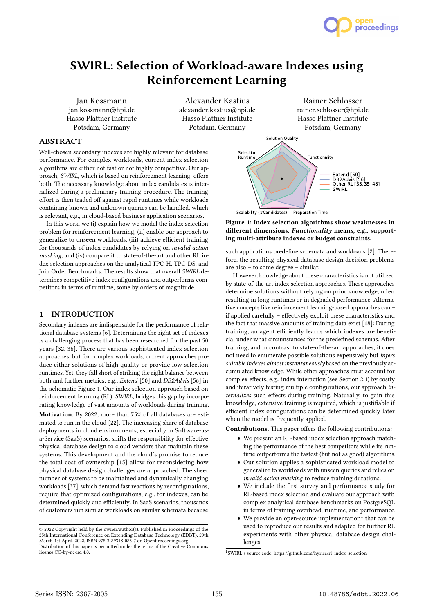

# SWIRL: Selection of Workload-aware Indexes using Reinforcement Learning

Jan Kossmann jan.kossmann@hpi.de Hasso Plattner Institute Potsdam, Germany

Alexander Kastius alexander.kastius@hpi.de Hasso Plattner Institute Potsdam, Germany

# ABSTRACT

Well-chosen secondary indexes are highly relevant for database performance. For complex workloads, current index selection algorithms are either not fast or not highly competitive. Our approach, SWIRL, which is based on reinforcement learning, offers both. The necessary knowledge about index candidates is internalized during a preliminary training procedure. The training effort is then traded off against rapid runtimes while workloads containing known and unknown queries can be handled, which is relevant, e.g., in cloud-based business application scenarios.

In this work, we (i) explain how we model the index selection problem for reinforcement learning, (ii) enable our approach to generalize to unseen workloads, (iii) achieve efficient training for thousands of index candidates by relying on invalid action masking, and (iv) compare it to state-of-the-art and other RL index selection approaches on the analytical TPC-H, TPC-DS, and Join Order Benchmarks. The results show that overall SWIRL determines competitive index configurations and outperforms competitors in terms of runtime, some by orders of magnitude.

# 1 INTRODUCTION

Secondary indexes are indispensable for the performance of relational database systems [6]. Determining the right set of indexes is a challenging process that has been researched for the past 50 years [32, 36]. There are various sophisticated index selection approaches, but for complex workloads, current approaches produce either solutions of high quality or provide low selection runtimes. Yet, they fall short of striking the right balance between both and further metrics, e.g., Extend [50] and DB2Advis [56] in the schematic Figure 1. Our index selection approach based on reinforcement learning (RL), SWIRL, bridges this gap by incorporating knowledge of vast amounts of workloads during training.

Motivation. By 2022, more than 75% of all databases are estimated to run in the cloud [22]. The increasing share of database deployments in cloud environments, especially in Software-asa-Service (SaaS) scenarios, shifts the responsibility for effective physical database design to cloud vendors that maintain these systems. This development and the cloud's promise to reduce the total cost of ownership [15] allow for reconsidering how physical database design challenges are approached. The sheer number of systems to be maintained and dynamically changing workloads [37], which demand fast reactions by reconfigurations, require that optimized configurations, e.g., for indexes, can be determined quickly and efficiently. In SaaS scenarios, thousands of customers run similar workloads on similar schemata because



Rainer Schlosser rainer.schlosser@hpi.de Hasso Plattner Institute

Figure 1: Index selection algorithms show weaknesses in different dimensions. Functionality means, e.g., supporting multi-attribute indexes or budget constraints.

such applications predefine schemata and workloads [2]. Therefore, the resulting physical database design decision problems are also – to some degree – similar.

However, knowledge about these characteristics is not utilized by state-of-the-art index selection approaches. These approaches determine solutions without relying on prior knowledge, often resulting in long runtimes or in degraded performance. Alternative concepts like reinforcement learning-based approaches can – if applied carefully – effectively exploit these characteristics and the fact that massive amounts of training data exist [18]: During training, an agent efficiently learns which indexes are beneficial under what circumstances for the predefined schemas. After training, and in contrast to state-of-the-art approaches, it does not need to enumerate possible solutions expensively but infers suitable indexes almost instantaneously based on the previously accumulated knowledge. While other approaches must account for complex effects, e.g., index interaction (see Section 2.1) by costly and iteratively testing multiple configurations, our approach internalizes such effects during training. Naturally, to gain this knowledge, extensive training is required, which is justifiable if efficient index configurations can be determined quickly later when the model is frequently applied.

Contributions. This paper offers the following contributions:

- We present an RL-based index selection approach matching the performance of the best competitors while its runtime outperforms the fastest (but not as good) algorithms.
- Our solution applies a sophisticated workload model to generalize to workloads with unseen queries and relies on invalid action masking to reduce training durations.
- We include the first survey and performance study for RL-based index selection and evaluate our approach with complex analytical database benchmarks on PostgreSQL in terms of training overhead, runtime, and performance.
- $\bullet$  We provide an open-source implementation<sup>1</sup> that can be used to reproduce our results and adapted for further RL experiments with other physical database design challenges.

1 SWIRL's source code: https://github.com/hyrise/rl\_index\_selection

<sup>©</sup> 2022 Copyright held by the owner/author(s). Published in Proceedings of the 25th International Conference on Extending Database Technology (EDBT), 29th March-1st April, 2022, ISBN 978-3-89318-085-7 on OpenProceedings.org.

Distribution of this paper is permitted under the terms of the Creative Commons license CC-by-nc-nd 4.0.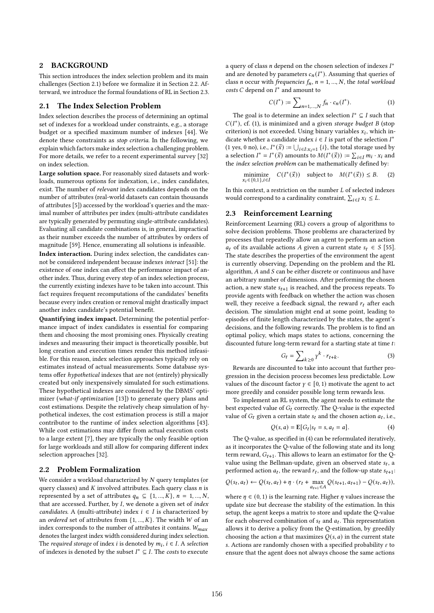# 2 BACKGROUND

This section introduces the index selection problem and its main challenges (Section 2.1) before we formalize it in Section 2.2. Afterward, we introduce the formal foundations of RL in Section 2.3.

#### 2.1 The Index Selection Problem

Index selection describes the process of determining an optimal set of indexes for a workload under constraints, e.g., a storage budget or a specified maximum number of indexes [44]. We denote these constraints as stop criteria. In the following, we explain which factors make index selection a challenging problem. For more details, we refer to a recent experimental survey [32] on index selection.

Large solution space. For reasonably sized datasets and workloads, numerous options for indexation, i.e., index candidates, exist. The number of relevant index candidates depends on the number of attributes (real-world datasets can contain thousands of attributes [5]) accessed by the workload's queries and the maximal number of attributes per index (multi-attribute candidates are typically generated by permuting single-attribute candidates). Evaluating all candidate combinations is, in general, impractical as their number exceeds the number of attributes by orders of magnitude [59]. Hence, enumerating all solutions is infeasible.

Index interaction. During index selection, the candidates cannot be considered independent because indexes interact [51]: the existence of one index can affect the performance impact of another index. Thus, during every step of an index selection process, the currently existing indexes have to be taken into account. This fact requires frequent recomputations of the candidates' benefits because every index creation or removal might drastically impact another index candidate's potential benefit.

Quantifying index impact. Determining the potential performance impact of index candidates is essential for comparing them and choosing the most promising ones. Physically creating indexes and measuring their impact is theoretically possible, but long creation and execution times render this method infeasible. For this reason, index selection approaches typically rely on estimates instead of actual measurements. Some database systems offer hypothetical indexes that are not (entirely) physically created but only inexpensively simulated for such estimations. These hypothetical indexes are considered by the DBMS' optimizer (what-if optimization [13]) to generate query plans and cost estimations. Despite the relatively cheap simulation of hypothetical indexes, the cost estimation process is still a major contributor to the runtime of index selection algorithms [43]. While cost estimations may differ from actual execution costs to a large extent [7], they are typically the only feasible option for large workloads and still allow for comparing different index selection approaches [32].

#### 2.2 Problem Formalization

We consider a workload characterized by  $N$  query templates (or query classes) and  $K$  involved attributes. Each query class  $n$  is represented by a set of attributes  $q_n \subseteq \{1, ..., K\}, n = 1, ..., N$ , that are accessed. Further, by  $I$ , we denote a given set of index candidates. A (multi-attribute) index  $i \in I$  is characterized by an ordered set of attributes from  $\{1, ..., K\}$ . The width W of an index corresponds to the number of attributes it contains.  $W_{max}$ denotes the largest index width considered during index selection. The required storage of index *i* is denoted by  $m_i$ ,  $i \in I$ . A selection of indexes is denoted by the subset  $I^* \subseteq I$ . The costs to execute

a query of class  $n$  depend on the chosen selection of indexes  $I^*$ and are denoted by parameters  $c_n(I^*)$ . Assuming that queries of class *n* occur with *frequencies*  $f_n$ ,  $n = 1, ..., N$ , the *total workload*  $costs$   $C$  depend on  $I^*$  and amount to

$$
C(I^*) := \sum_{n=1,...,N} f_n \cdot c_n(I^*).
$$
 (1)

The goal is to determine an index selection  $I^* \subseteq I$  such that  $C(I^*)$ , cf. (1), is minimized and a given storage budget B (stop criterion) is not exceeded. Using binary variables  $x_i$ , which indicate whether a candidate index  $i \in I$  is part of the selection  $I^*$ (1 yes, 0 no), i.e.,  $I^*(\vec{x}) := \bigcup_{i \in I : x_i = 1} \{i\}$ , the total storage used by a selection  $I^* = I^*(\vec{x})$  amounts to  $M(I^*(\vec{x})) := \sum_{i \in I} m_i \cdot x_i$  and the *index selection problem* can be mathematically defined by:

minimize 
$$
C(I^*(\vec{x}))
$$
 subject to  $M(I^*(\vec{x})) \leq B$ . (2)

In this context, a restriction on the number  $L$  of selected indexes would correspond to a cardinality constraint,  $\sum_{i \in I} x_i \leq L$ .

## 2.3 Reinforcement Learning

Reinforcement Learning (RL) covers a group of algorithms to solve decision problems. Those problems are characterized by processes that repeatedly allow an agent to perform an action  $a_t$  of its available actions A given a current state  $s_t \in S$  [55]. The state describes the properties of the environment the agent is currently observing. Depending on the problem and the RL algorithm,  $A$  and  $S$  can be either discrete or continuous and have an arbitrary number of dimensions. After performing the chosen action, a new state  $s_{t+1}$  is reached, and the process repeats. To provide agents with feedback on whether the action was chosen well, they receive a feedback signal, the reward  $r_t$  after each decision. The simulation might end at some point, leading to episodes of finite length characterized by the states, the agent's decisions, and the following rewards. The problem is to find an optimal policy, which maps states to actions, concerning the discounted future long-term reward for a starting state at time t:

$$
G_t = \sum_{k \ge 0} \gamma^k \cdot r_{t+k}.\tag{3}
$$

Rewards are discounted to take into account that further progression in the decision process becomes less predictable. Low values of the discount factor  $\gamma \in [0, 1)$  motivate the agent to act more greedily and consider possible long term rewards less.

To implement an RL system, the agent needs to estimate the best expected value of  $G_t$  correctly. The Q-value is the expected value of  $G_t$  given a certain state  $s_t$  and the chosen action  $a_t$ , i.e.,

$$
Q(s, a) = \mathbf{E}[G_t | s_t = s, a_t = a].
$$
\n<sup>(4)</sup>

The Q-value, as specified in (4) can be reformulated iteratively, as it incorporates the Q-value of the following state and its long term reward,  $G_{t+1}$ . This allows to learn an estimator for the Qvalue using the Bellman-update, given an observed state  $s_t$ , a performed action  $a_t$ , the reward  $r_t$ , and the follow-up state  $s_{t+1}$ .

$$
Q(s_t, a_t) \leftarrow Q(s_t, a_t) + \eta \cdot (r_t + \max_{a_{t+1} \in A} Q(s_{t+1}, a_{t+1}) - Q(s_t, a_t)),
$$

where  $\eta \in (0, 1)$  is the learning rate. Higher  $\eta$  values increase the update size but decrease the stability of the estimation. In this setup, the agent keeps a matrix to store and update the Q-value for each observed combination of  $s_t$  and  $a_t$ . This representation allows it to derive a policy from the Q-estimation, by greedily choosing the action  $a$  that maximizes  $Q(s, a)$  in the current state s. Actions are randomly chosen with a specified probability  $\varepsilon$  to ensure that the agent does not always choose the same actions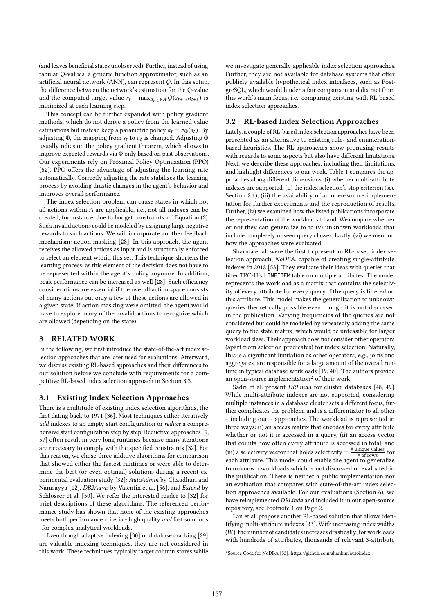(and leaves beneficial states unobserved). Further, instead of using tabular Q-values, a generic function approximator, such as an artificial neural network (ANN), can represent  $Q$ . In this setup, the difference between the network's estimation for the Q-value and the computed target value  $r_t + \max_{a_{t+1} \in A} Q(s_{t+1}, a_{t+1})$  is minimized at each learning step.

This concept can be further expanded with policy gradient methods, which do not derive a policy from the learned value estimations but instead keep a parametric policy  $a_t = \pi_{\Phi}(s_t)$ . By adjusting  $\Phi$ , the mapping from  $s_t$  to  $a_t$  is changed. Adjusting  $\Phi$ usually relies on the policy gradient theorem, which allows to improve expected rewards via Φ only based on past observations. Our experiments rely on Proximal Policy Optimization (PPO) [52]. PPO offers the advantage of adjusting the learning rate automatically. Correctly adjusting the rate stabilizes the learning process by avoiding drastic changes in the agent's behavior and improves overall performance.

The index selection problem can cause states in which not all actions within  $A$  are applicable, i.e., not all indexes can be created, for instance, due to budget constraints, cf. Equation (2). Such invalid actions could be modeled by assigning large negative rewards to such actions. We will incorporate another feedback mechanism: action masking [28]. In this approach, the agent receives the allowed actions as input and is structurally enforced to select an element within this set. This technique shortens the learning process, as this element of the decision does not have to be represented within the agent's policy anymore. In addition, peak performance can be increased as well [28]. Such efficiency considerations are essential if the overall action space consists of many actions but only a few of these actions are allowed in a given state. If action masking were omitted, the agent would have to explore many of the invalid actions to recognize which are allowed (depending on the state).

# 3 RELATED WORK

In the following, we first introduce the state-of-the-art index selection approaches that are later used for evaluations. Afterward, we discuss existing RL-based approaches and their differences to our solution before we conclude with requirements for a competitive RL-based index selection approach in Section 3.3.

#### 3.1 Existing Index Selection Approaches

There is a multitude of existing index selection algorithms, the first dating back to 1971 [36]. Most techniques either iteratively add indexes to an empty start configuration or reduce a comprehensive start configuration step by step. Reductive approaches [9, 57] often result in very long runtimes because many iterations are necessary to comply with the specified constraints [32]. For this reason, we chose three additive algorithms for comparison that showed either the fastest runtimes or were able to determine the best (or even optimal) solutions during a recent experimental evaluation study [32]: AutoAdmin by Chaudhuri and Narasayya [12], DB2Advis by Valentin et al. [56], and Extend by Schlosser et al. [50]. We refer the interested reader to [32] for brief descriptions of these algorithms. The referenced performance study has shown that none of the existing approaches meets both performance criteria - high quality and fast solutions - for complex analytical workloads.

Even though adaptive indexing [30] or database cracking [29] are valuable indexing techniques, they are not considered in this work. These techniques typically target column stores while we investigate generally applicable index selection approaches. Further, they are not available for database systems that offer publicly available hypothetical index interfaces, such as PostgreSQL, which would hinder a fair comparison and distract from this work's main focus, i.e., comparing existing with RL-based index selection approaches.

#### 3.2 RL-based Index Selection Approaches

Lately, a couple of RL-based index selection approaches have been presented as an alternative to existing rule- and enumerationbased heuristics. The RL approaches show promising results with regards to some aspects but also have different limitations. Next, we describe these approaches, including their limitations, and highlight differences to our work. Table 1 compares the approaches along different dimensions: (i) whether multi-attribute indexes are supported, (ii) the index selection's stop criterion (see Section 2.1), (iii) the availability of an open-source implementation for further experiments and the reproduction of results. Further, (iv) we examined how the listed publications incorporate the representation of the workload at hand. We compare whether or not they can generalize to to (v) unknown workloads that include completely unseen query classes. Lastly, (vi) we mention how the approaches were evaluated.

Sharma et al. were the first to present an RL-based index selection approach, NoDBA, capable of creating single-attribute indexes in 2018 [53]. They evaluate their ideas with queries that filter TPC-H's LINEITEM table on multiple attributes. The model represents the workload as a matrix that contains the selectivity of every attribute for every query if the query is filtered on this attribute. This model makes the generalization to unknown queries theoretically possible even though it is not discussed in the publication. Varying frequencies of the queries are not considered but could be modeled by repeatedly adding the same query to the state matrix, which would be unfeasible for larger workload sizes. Their approach does not consider other operators (apart from selection predicates) for index selection. Naturally, this is a significant limitation as other operators, e.g., joins and aggregates, are responsible for a large amount of the overall runtime in typical database workloads [19, 40]. The authors provide an open-source implementation<sup>2</sup> of their work.

Sadri et al. present DRLinda for cluster databases [48, 49]. While multi-attribute indexes are not supported, considering multiple instances in a database cluster sets a different focus, further complicates the problem, and is a differentiator to all other – including our – approaches. The workload is represented in three ways: (i) an access matrix that encodes for every attribute whether or not it is accessed in a query, (ii) an access vector that counts how often every attribute is accessed in total, and (iii) a selectivity vector that holds selectivity =  $\frac{\text{\# unique values}}{\text{\# of rows}}$  for each attribute. This model could enable the agent to generalize to unknown workloads which is not discussed or evaluated in the publication. There is neither a public implementation nor an evaluation that compares with state-of-the-art index selection approaches available. For our evaluations (Section 6), we have reimplemented DRLinda and included it in our open-source repository, see Footnote 1 on Page 2.

Lan et al. propose another RL-based solution that allows identifying multi-attribute indexes [33]. With increasing index widths  $(W)$ , the number of candidates increases drastically; for workloads with hundreds of attributes, thousands of relevant 3-attribute

<sup>2</sup> Source Code for NoDBA [53]: https://github.com/shankur/autoindex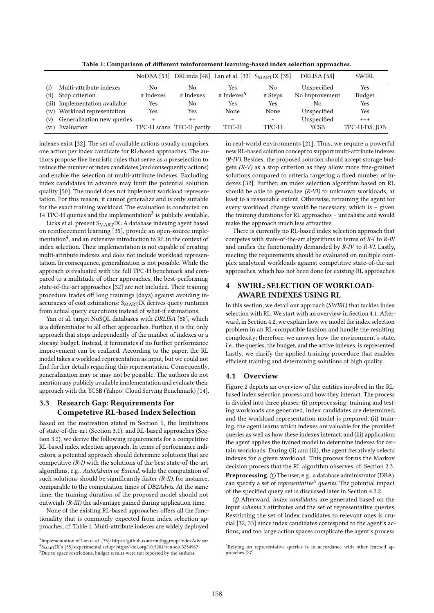|      |                                |                |                          | NoDBA [53] DRLinda [48] Lan et al. [33] SMARTIX [35] |                          | DRLISA [58]    | SWIRL         |
|------|--------------------------------|----------------|--------------------------|------------------------------------------------------|--------------------------|----------------|---------------|
| (i)  | Multi-attribute indexes        | N <sub>0</sub> | No.                      | Yes                                                  | No                       | Unspecified    | Yes           |
| (ii) | Stop criterion                 | # Indexes      | # Indexes                | $#$ Indexes <sup>5</sup>                             | # Steps                  | No improvement | Budget        |
|      | (iii) Implementation available | Yes            | No                       | Yes                                                  | Yes                      | No.            | Yes           |
|      | (iv) Workload representation   | Yes            | Yes                      | None                                                 | None                     | Unspecified    | Yes           |
| (v)  | Generalization new queries     |                | $^{++}$                  | $\qquad \qquad$                                      | $\overline{\phantom{a}}$ | Unspecified    | $^{+++}$      |
|      | (vi) Evaluation                |                | TPC-H scans TPC-H partly | TPC-H                                                | TPC-H                    | <b>YCSB</b>    | TPC-H/DS, JOB |

Table 1: Comparison of different reinforcement learning-based index selection approaches.

indexes exist [32]. The set of available actions usually comprises one action per index candidate for RL-based approaches. The authors propose five heuristic rules that serve as a preselection to reduce the number of index candidates (and consequently actions) and enable the selection of multi-attribute indexes. Excluding index candidates in advance may limit the potential solution quality [50]. The model does not implement workload representation. For this reason, it cannot generalize and is only suitable for the exact training workload. The evaluation is conducted on 14 TPC-H queries and the implementation<sup>3</sup> is publicly available.

Licks et al. present  $S_{\text{MART}}$ IX: A database indexing agent based on reinforcement learning [35], provide an open-source implementation $\rm ^4$ , and an extensive introduction to RL in the context of index selection. Their implementation is not capable of creating multi-attribute indexes and does not include workload representation. In consequence, generalization is not possible. While the approach is evaluated with the full TPC-H benchmark and compared to a multitude of other approaches, the best-performing state-of-the-art approaches [32] are not included. Their training procedure trades off long trainings (days) against avoiding inaccuracies of cost estimations: S<sub>MART</sub>IX derives query runtimes from actual query executions instead of what-if estimations.

Yan et al. target NoSQL databases with DRLISA [58], which is a differentiator to all other approaches. Further, it is the only approach that stops independently of the number of indexes or a storage budget. Instead, it terminates if no further performance improvement can be realized. According to the paper, the RL model takes a workload representation as input, but we could not find further details regarding this representation. Consequently, generalization may or may not be possible. The authors do not mention any publicly available implementation and evaluate their approach with the YCSB (Yahoo! Cloud Serving Benchmark) [14].

# 3.3 Research Gap: Requirements for Competetive RL-based Index Selection

Based on the motivation stated in Section 1, the limitations of state-of-the-art (Section 3.1), and RL-based approaches (Section 3.2), we derive the following requirements for a competitive RL-based index selection approach. In terms of performance indicators, a potential approach should determine solutions that are competitive  $(R-I)$  with the solutions of the best state-of-the-art algorithms, e.g., AutoAdmin or Extend, while the computation of such solutions should be significantly faster  $(R-H)$ , for instance, comparable to the computation times of DB2Advis. At the same time, the training duration of the proposed model should not outweigh (R-III) the advantage gained during application time.

None of the existing RL-based approaches offers all the functionality that is commonly expected from index selection approaches, cf. Table 1. Multi-attribute indexes are widely deployed

in real-world environments [21]. Thus, we require a powerful new RL-based solution concept to support multi-attribute indexes (R-IV). Besides, the proposed solution should accept storage budgets  $(R-V)$  as a stop criterion as they allow more fine-grained solutions compared to criteria targeting a fixed number of indexes [32]. Further, an index selection algorithm based on RL should be able to generalize (R-VI) to unknown workloads, at least to a reasonable extent. Otherwise, retraining the agent for every workload change would be necessary, which is – given the training durations for RL approaches – unrealistic and would make the approach much less attractive.

There is currently no RL-based index selection approach that competes with state-of-the-art algorithms in terms of R-I to R-III and unifies the functionality demanded by R-IV to R-VI. Lastly, meeting the requirements should be evaluated on multiple complex analytical workloads against competitive state-of-the-art approaches, which has not been done for existing RL approaches.

# **5WIRL: SELECTION OF WORKLOAD-**AWARE INDEXES USING RL

In this section, we detail our approach (SWIRL) that tackles index selection with RL. We start with an overview in Section 4.1. Afterward, in Section 4.2, we explain how we model the index selection problem in an RL-compatible fashion and handle the resulting complexity; therefore, we answer how the environment's state, i.e., the queries, the budget, and the active indexes, is represented. Lastly, we clarify the applied training procedure that enables efficient training and determining solutions of high quality.

#### 4.1 Overview

Figure 2 depicts an overview of the entities involved in the RLbased index selection process and how they interact. The process is divided into three phases: (i) preprocessing: training and testing workloads are generated, index candidates are determined, and the workload representation model is prepared; (ii) training: the agent learns which indexes are valuable for the provided queries as well as how these indexes interact, and (iii) application: the agent applies the trained model to determine indexes for certain workloads. During (ii) and (iii), the agent iteratively selects indexes for a given workload. This process forms the Markov decision process that the RL algorithm observes, cf. Section 2.3. Preprocessing. 1 The user, e.g., a database administrator (DBA), can specify a set of *representative* $6$  *queries*. The potential impact of the specified query set is discussed later in Section 4.2.2.

2 Afterward, index candidates are generated based on the input schema's attributes and the set of representative queries. Restricting the set of index candidates to relevant ones is crucial [32, 33] since index candidates correspond to the agent's actions, and too large action spaces complicate the agent's process

<sup>3</sup> Implementation of Lan et al. [33]: https://github.com/rmitbggroup/IndexAdvisor 4 SMARTIX's [35] experimental setup: https://doi.org/10.5281/zenodo.3254967 5Due to space restrictions, budget results were not reported by the authors.

 $6$ Relying on representative queries is in accordance with other learned approaches [27].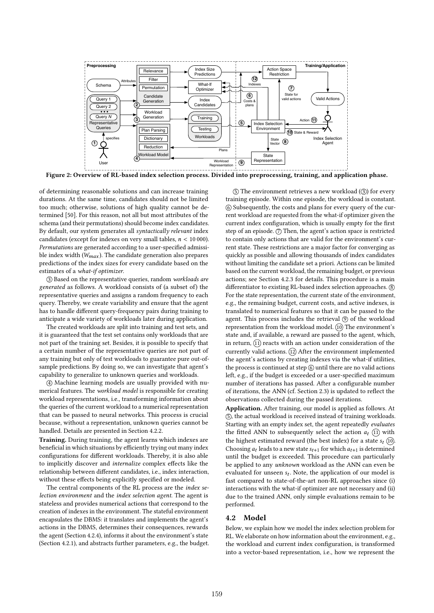

Figure 2: Overview of RL-based index selection process. Divided into preprocessing, training, and application phase.

of determining reasonable solutions and can increase training durations. At the same time, candidates should not be limited too much; otherwise, solutions of high quality cannot be determined [50]. For this reason, not all but most attributes of the schema (and their permutations) should become index candidates. By default, our system generates all syntactically relevant index candidates (except for indexes on very small tables,  $n < 10000$ ). Permutations are generated according to a user-specified admissible index width  $(W_{max})$ . The candidate generation also prepares predictions of the index sizes for every candidate based on the estimates of a what-if optimizer.

3 Based on the representative queries, random workloads are generated as follows. A workload consists of (a subset of) the representative queries and assigns a random frequency to each query. Thereby, we create variability and ensure that the agent has to handle different query-frequency pairs during training to anticipate a wide variety of workloads later during application.

The created workloads are split into training and test sets, and it is guaranteed that the test set contains only workloads that are not part of the training set. Besides, it is possible to specify that a certain number of the representative queries are not part of any training but only of test workloads to guarantee pure out-ofsample predictions. By doing so, we can investigate that agent's capability to generalize to unknown queries and workloads.

4 Machine learning models are usually provided with numerical features. The workload model is responsible for creating workload representations, i.e., transforming information about the queries of the current workload to a numerical representation that can be passed to neural networks. This process is crucial because, without a representation, unknown queries cannot be handled. Details are presented in Section 4.2.2.

Training. During training, the agent learns which indexes are beneficial in which situations by efficiently trying out many index configurations for different workloads. Thereby, it is also able to implicitly discover and internalize complex effects like the relationship between different candidates, i.e., index interaction, without these effects being explicitly specified or modeled.

The central components of the RL process are the index selection environment and the index selection agent. The agent is stateless and provides numerical actions that correspond to the creation of indexes in the environment. The stateful environment encapsulates the DBMS: it translates and implements the agent's actions in the DBMS, determines their consequences, rewards the agent (Section 4.2.4), informs it about the environment's state (Section 4.2.1), and abstracts further parameters, e.g., the budget.

 $(5)$  The environment retrieves a new workload  $(3)$  for every training episode. Within one episode, the workload is constant. 6 Subsequently, the costs and plans for every query of the current workload are requested from the what-if optimizer given the current index configuration, which is usually empty for the first step of an episode.  $(7)$  Then, the agent's action space is restricted to contain only actions that are valid for the environment's current state. These restrictions are a major factor for converging as quickly as possible and allowing thousands of index candidates without limiting the candidate set a priori. Actions can be limited based on the current workload, the remaining budget, or previous actions; see Section 4.2.3 for details. This procedure is a main differentiator to existing RL-based index selection approaches.  $\circledR$ For the state representation, the current state of the environment, e.g., the remaining budget, current costs, and active indexes, is translated to numerical features so that it can be passed to the agent. This process includes the retrieval  $\circled{9}$  of the workload representation from the workload model. (10) The environment's state and, if available, a reward are passed to the agent, which, in return,  $(1)$  reacts with an action under consideration of the currently valid actions.  $(12)$  After the environment implemented the agent's actions by creating indexes via the what-if utilities, the process is continued at step  $(6)$  until there are no valid actions left, e.g., if the budget is exceeded or a user-specified maximum number of iterations has passed. After a configurable number of iterations, the ANN (cf. Section 2.3) is updated to reflect the observations collected during the passed iterations.

Application. After training, our model is applied as follows. At 5 , the actual workload is received instead of training workloads. Starting with an empty index set, the agent repeatedly evaluates the fitted ANN to subsequently select the action  $a_t$  (1) with the highest estimated reward (the best index) for a state  $s_t$  (10). Choosing  $a_t$  leads to a new state  $s_{t+1}$  for which  $a_{t+1}$  is determined until the budget is exceeded. This procedure can particularly be applied to any unknown workload as the ANN can even be evaluated for unseen  $s_t$ . Note, the application of our model is fast compared to state-of-the-art non-RL approaches since (i) interactions with the what-if optimizer are not necessary and (ii) due to the trained ANN, only simple evaluations remain to be performed.

### 4.2 Model

Below, we explain how we model the index selection problem for RL. We elaborate on how information about the environment, e.g., the workload and current index configuration, is transformed into a vector-based representation, i.e., how we represent the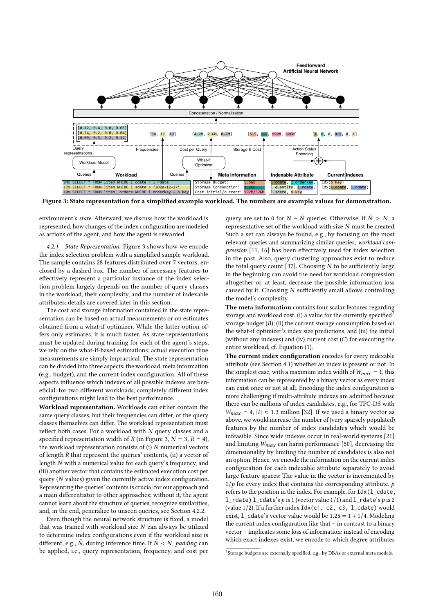

Figure 3: State representation for a simplified example workload. The numbers are example values for demonstration.

environment's state. Afterward, we discuss how the workload is represented, how changes of the index configuration are modeled as actions of the agent, and how the agent is rewarded.

4.2.1 State Representation. Figure 3 shows how we encode the index selection problem with a simplified sample workload. The sample contains 28 features distributed over 7 vectors, enclosed by a dashed box. The number of necessary features to effectively represent a particular instance of the index selection problem largely depends on the number of query classes in the workload, their complexity, and the number of indexable attributes; details are covered later in this section.

The cost and storage information contained in the state representation can be based on actual measurements or on estimates obtained from a what-if optimizer. While the latter option offers only estimates, it is much faster. As state representations must be updated during training for each of the agent's steps, we rely on the what-if-based estimations; actual execution time measurements are simply impractical. The state representation can be divided into three aspects: the workload, meta information (e.g., budget), and the current index configuration. All of these aspects influence which indexes of all possible indexes are beneficial: for two different workloads, completely different index configurations might lead to the best performance.

Workload representation. Workloads can either contain the same query classes, but their frequencies can differ, or the query classes themselves can differ. The workload representation must reflect both cases. For a workload with  $N$  query classes and a specified representation width of R (in Figure 3,  $N = 3$ ,  $R = 4$ ), the workload representation consists of  $(i)$   $N$  numerical vectors of length  $R$  that represent the queries' contents, (ii) a vector of length  $N$  with a numerical value for each query's frequency, and (iii) another vector that contains the estimated execution cost per query ( $N$  values) given the currently active index configuration. Representing the queries' contents is crucial for our approach and a main differentiator to other approaches; without it, the agent cannot learn about the structure of queries, recognize similarities, and, in the end, generalize to unseen queries, see Section 4.2.2.

Even though the neural network structure is fixed, a model that was trained with workload size  $N$  can always be utilized to determine index configurations even if the workload size is different, e.g.,  $\tilde{N}$ , during inference time. If  $\tilde{N} < N$ ,  $padding$  can be applied, i.e., query representation, frequency, and cost per query are set to 0 for  $N - \tilde{N}$  queries. Otherwise, if  $\tilde{N} > N$ , a representative set of the workload with size  $N$  must be created. Such a set can always be found, e.g., by focusing on the most relevant queries and summarizing similar queries; workload compression [11, 16] has been effectively used for index selection in the past. Also, query clustering approaches exist to reduce the total query count [37]. Choosing  $N$  to be sufficiently large in the beginning can avoid the need for workload compression altogether or, at least, decrease the possible information loss caused by it. Choosing  $N$  sufficiently small allows controlling the model's complexity.

The meta information contains four scalar features regarding storage and workload cost: (i) a value for the currently specified<sup>7</sup> storage budget  $(B)$ , (ii) the current storage consumption based on the what-if optimizer's index size predictions, and (iii) the initial (without any indexes) and (iv) current cost  $(C)$  for executing the entire workload, cf. Equation (1).

The current index configuration encodes for every indexable attribute (see Section 4.1) whether an index is present or not. In the simplest case, with a maximum index width of  $W_{max} = 1$ , this information can be represented by a binary vector as every index can exist once or not at all. Encoding the index configuration is more challenging if multi-attribute indexes are admitted because there can be millions of index candidates, e.g., for TPC-DS with  $W_{max} = 4$ ,  $|I| \approx 1.3$  million [32]. If we used a binary vector as above, we would increase the number of (very sparsely populated) features by the number of index candidates which would be infeasible. Since wide indexes occur in real-world systems [21] and limiting  $W_{max}$  can harm performance [50], decreasing the dimensionality by limiting the number of candidates is also not an option. Hence, we encode the information on the current index configuration for each indexable attribute separately to avoid large feature spaces: The value in the vector is incremented by  $1/p$  for every index that contains the corresponding attribute.  $p$ refers to the position in the index. For example, for Idx(l\_cdate, l\_rdate) l\_cdate's  $p$  is 1 (vector value 1/1) and l\_rdate's  $p$  is 2 (value 1/2). If a further index Idx(c1, c2, c3, l\_cdate) would exist, 1\_cdate's vector value would be  $1.25 = 1 + 1/4$ . Modeling the current index configuration like that – in contrast to a binary vector – implicates some loss of information: instead of encoding which exact indexes exist, we encode to which degree attributes

<sup>&</sup>lt;sup>7</sup> Storage budgets are externally specified, e.g., by DBAs or external meta models.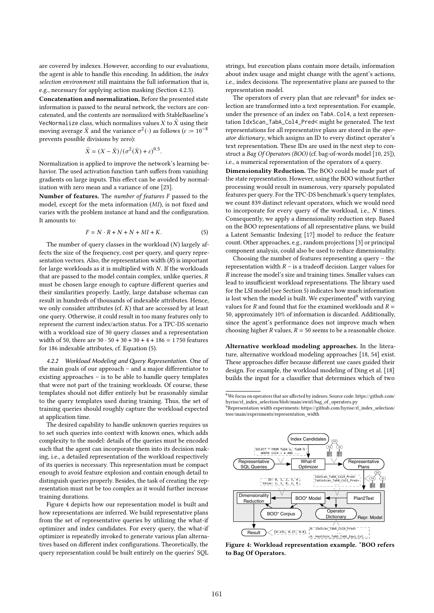are covered by indexes. However, according to our evaluations, the agent is able to handle this encoding. In addition, the index selection environment still maintains the full information that is, e.g., necessary for applying action masking (Section 4.2.3).

Concatenation and normalization. Before the presented state information is passed to the neural network, the vectors are concatenated, and the contents are normalized with StableBaseline's VecNormalize class, which normalizes values X to  $\tilde{X}$  using their moving average  $\bar{X}$  and the variance  $\sigma^2(\cdot)$  as follows ( $\varepsilon \coloneqq 10^{-8}$ prevents possible divisions by zero):

$$
\tilde{X} = (X - \bar{X})/(\sigma^2(\bar{X}) + \varepsilon)^{0.5}.
$$

Normalization is applied to improve the network's learning behavior. The used activation function tanh suffers from vanishing gradients on large inputs. This effect can be avoided by normalization with zero mean and a variance of one [23].

Number of features. The number of features  $F$  passed to the model, except for the meta information  $(MI)$ , is not fixed and varies with the problem instance at hand and the configuration. It amounts to:

$$
F = N \cdot R + N + N + MI + K. \tag{5}
$$

The number of query classes in the workload  $(N)$  largely affects the size of the frequency, cost per query, and query representation vectors. Also, the representation width  $(R)$  is important for large workloads as it is multiplied with  $N$ . If the workloads that are passed to the model contain complex, unlike queries,  $$ must be chosen large enough to capture different queries and their similarities properly. Lastly, large database schemas can result in hundreds of thousands of indexable attributes. Hence, we only consider attributes (cf.  $K$ ) that are accessed by at least one query. Otherwise, it could result in too many features only to represent the current index/action status. For a TPC-DS scenario with a workload size of 30 query classes and a representation width of 50, there are  $30 \cdot 50 + 30 + 30 + 4 + 186 = 1750$  features for 186 indexable attributes, cf. Equation (5).

4.2.2 Workload Modeling and Query Representation. One of the main goals of our approach – and a major differentiator to existing approaches – is to be able to handle query templates that were not part of the training workloads. Of course, these templates should not differ entirely but be reasonably similar to the query templates used during training. Thus, the set of training queries should roughly capture the workload expected at application time.

The desired capability to handle unknown queries requires us to set such queries into context with known ones, which adds complexity to the model: details of the queries must be encoded such that the agent can incorporate them into its decision making, i.e., a detailed representation of the workload respectively of its queries is necessary. This representation must be compact enough to avoid feature explosion and contain enough detail to distinguish queries properly. Besides, the task of creating the representation must not be too complex as it would further increase training durations.

Figure 4 depicts how our representation model is built and how representations are inferred. We build representative plans from the set of representative queries by utilizing the what-if optimizer and index candidates. For every query, the what-if optimizer is repeatedly invoked to generate various plan alternatives based on different index configurations. Theoretically, the query representation could be built entirely on the queries' SQL strings, but execution plans contain more details, information about index usage and might change with the agent's actions, i.e., index decisions. The representative plans are passed to the representation model.

The operators of every plan that are relevant<sup>8</sup> for index selection are transformed into a text representation. For example, under the presence of an index on TabA.Col4, a text representation IdxScan\_TabA\_Col4\_Pred< might be generated. The text representations for all representative plans are stored in the operator dictionary, which assigns an ID to every distinct operator's text representation. These IDs are used in the next step to construct a Bag Of Operators (BOO) (cf. bag-of-words model [10, 25]), i.e., a numerical representation of the operators of a query.

Dimensionality Reduction. The BOO could be made part of the state representation. However, using the BOO without further processing would result in numerous, very sparsely populated features per query. For the TPC-DS benchmark's query templates, we count 839 distinct relevant operators, which we would need to incorporate for every query of the workload, i.e.,  $N$  times. Consequently, we apply a dimensionality reduction step. Based on the BOO representations of all representative plans, we build a Latent Semantic Indexing [17] model to reduce the feature count. Other approaches, e.g., random projections [3] or principal component analysis, could also be used to reduce dimensionality.

Choosing the number of features representing a query – the representation width  $R -$  is a tradeoff decision. Larger values for  $\overline{R}$  increase the model's size and training times. Smaller values can lead to insufficient workload representations. The library used for the LSI model (see Section 5) indicates how much information is lost when the model is built. We experimented $9$  with varying values for  $R$  and found that for the examined workloads and  $R =$ 50, approximately 10% of information is discarded. Additionally, since the agent's performance does not improve much when choosing higher  $R$  values,  $R = 50$  seems to be a reasonable choice.

Alternative workload modeling approaches. In the literature, alternative workload modeling approaches [18, 54] exist. These approaches differ because different use cases guided their design. For example, the workload modeling of Ding et al. [18] builds the input for a classifier that determines which of two

 $^{9}$ Representation width experiments: https://github.com/hyrise/rl\_index\_selection/ tree/main/experiments/representation\_width



Figure 4: Workload representation example. \*BOO refers to Bag Of Operators.

 $\overline{{}^8\text{We}}$  focus on operators that are affected by indexes. Source code: https://github.com/ hyrise/rl\_index\_selection/blob/main/swirl/bag\_of\_operators.py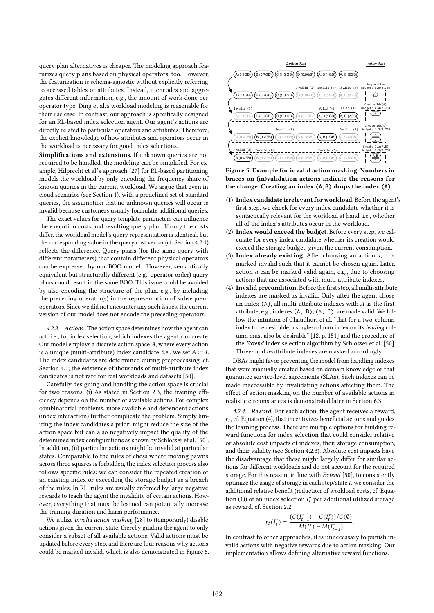query plan alternatives is cheaper. The modeling approach featurizes query plans based on physical operators, too. However, the featurization is schema-agnostic without explicitly referring to accessed tables or attributes. Instead, it encodes and aggregates different information, e.g., the amount of work done per operator type. Ding et al.'s workload modeling is reasonable for their use case. In contrast, our approach is specifically designed for an RL-based index selection agent. Our agent's actions are directly related to particular operators and attributes. Therefore, the explicit knowledge of how attributes and operators occur in the workload is necessary for good index selections.

Simplifications and extensions. If unknown queries are not required to be handled, the modeling can be simplified. For example, Hilprecht et al.'s approach [27] for RL-based partitioning models the workload by only encoding the frequency share of known queries in the current workload. We argue that even in cloud scenarios (see Section 1), with a predefined set of standard queries, the assumption that no unknown queries will occur is invalid because customers usually formulate additional queries.

The exact values for query template parameters can influence the execution costs and resulting query plan. If only the costs differ, the workload model's query representation is identical, but the corresponding value in the query cost vector (cf. Section 4.2.1) reflects the difference. Query plans (for the same query with different parameters) that contain different physical operators can be expressed by our BOO model. However, semantically equivalent but structurally different (e.g., operator order) query plans could result in the same BOO. This issue could be avoided by also encoding the structure of the plan, e.g., by including the preceding operator(s) in the representation of subsequent operators. Since we did not encounter any such issues, the current version of our model does not encode the preceding operators.

4.2.3 Actions. The action space determines how the agent can act, i.e., for index selection, which indexes the agent can create. Our model employs a discrete action space  $A$ , where every action is a unique (multi-attribute) index candidate, i.e., we set  $A := I$ . The index candidates are determined during preprocessing, cf. Section 4.1; the existence of thousands of multi-attribute index candidates is not rare for real workloads and datasets [50].

Carefully designing and handling the action space is crucial for two reasons. (i) As stated in Section 2.3, the training efficiency depends on the number of available actions. For complex combinatorial problems, more available and dependent actions (index interaction) further complicate the problem. Simply limiting the index candidates a priori might reduce the size of the action space but can also negatively impact the quality of the determined index configurations as shown by Schlosser et al. [50]. In addition, (ii) particular actions might be invalid at particular states. Comparable to the rules of chess where moving pawns across three squares is forbidden, the index selection process also follows specific rules: we can consider the repeated creation of an existing index or exceeding the storage budget as a breach of the rules. In RL, rules are usually enforced by large negative rewards to teach the agent the invalidity of certain actions. However, everything that must be learned can potentially increase the training duration and harm performance.

We utilize invalid action masking [28] to (temporarily) disable actions given the current state, thereby guiding the agent to only consider a subset of all available actions. Valid actions must be updated before every step, and there are four reasons why actions could be marked invalid, which is also demonstrated in Figure 5.



Figure 5: Example for invalid action masking. Numbers in braces on (in)validation actions indicate the reasons for the change. Creating an index **(A,B)** drops the index **(A)**.

- (1) Index candidate irrelevant for workload. Before the agent's first step, we check for every index candidate whether it is syntactically relevant for the workload at hand, i.e., whether all of the index's attributes occur in the workload.
- (2) Index would exceed the budget. Before every step, we calculate for every index candidate whether its creation would exceed the storage budget, given the current consumption.
- (3) Index already existing. After choosing an action  $a$ , it is marked invalid such that it cannot be chosen again. Later, action  $a$  can be marked valid again, e.g., due to choosing actions that are associated with multi-attribute indexes.
- (4) Invalid precondition. Before the first step, all multi-attribute indexes are masked as invalid. Only after the agent chose an index  $(A)$ , all multi-attribute indexes with  $A$  as the first attribute, e.g., indexes (A, B), (A, C), are made valid. We follow the intuition of Chaudhuri et al. "that for a two-column index to be desirable, a single-column index on its leading column must also be desirable" [12, p. 151] and the procedure of the Extend index selection algorithm by Schlosser et al. [50]. Three- and  $n$ -attribute indexes are masked accordingly.

DBAs might favor preventing the model from handling indexes that were manually created based on domain knowledge or that guarantee service-level agreements (SLAs). Such indexes can be made inaccessible by invalidating actions affecting them. The effect of action masking on the number of available actions in realistic circumstances is demonstrated later in Section 6.3.

4.2.4 Reward. For each action, the agent receives a reward,  $r_t$ , cf. Equation (4), that incentivizes beneficial actions and guides the learning process. There are multiple options for building reward functions for index selection that could consider relative or absolute cost impacts of indexes, their storage consumption, and their validity (see Section 4.2.3). Absolute cost impacts have the disadvantage that these might largely differ for similar actions for different workloads and do not account for the required storage. For this reason, in line with Extend [50], to consistently optimize the usage of storage in each step/state  $t$ , we consider the additional relative benefit (reduction of workload costs, cf. Equation (1)) of an index selection  $I_t^*$  per additional utilized storage as reward, cf. Section 2.2:

$$
r_t(I_t^*) = \frac{(C(I_{t-1}^*) - C(I_t^*))/C(\emptyset)}{M(I_t^*) - M(I_{t-1}^*)}
$$

.

In contrast to other approaches, it is unnecessary to punish invalid actions with negative rewards due to action masking. Our implementation allows defining alternative reward functions.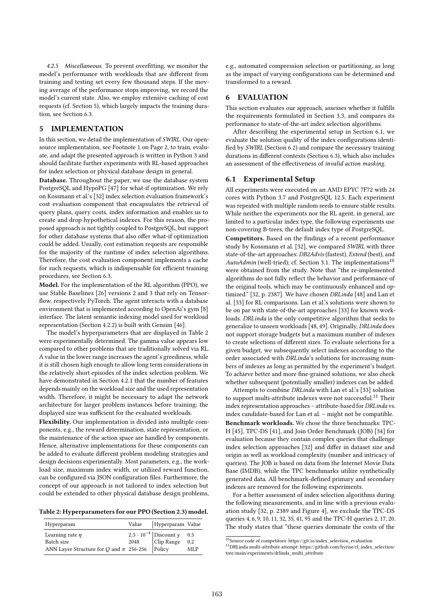4.2.5 Miscellaneous. To prevent overfitting, we monitor the model's performance with workloads that are different from training and testing set every few thousand steps. If the moving average of the performance stops improving, we record the model's current state. Also, we employ extensive caching of cost requests (cf. Section 5), which largely impacts the training duration, see Section 6.3.

# 5 IMPLEMENTATION

In this section, we detail the implementation of SWIRL. Our opensource implementation, see Footnote 1 on Page 2, to train, evaluate, and adapt the presented approach is written in Python 3 and should facilitate further experiments with RL-based approaches for index selection or physical database design in general.

Database. Throughout the paper, we use the database system PostgreSQL and HypoPG [47] for what-if optimization. We rely on Kossmann et al.'s [32] index selection evaluation framework's cost evaluation component that encapsulates the retrieval of query plans, query costs, index information and enables us to create and drop hypothetical indexes. For this reason, the proposed approach is not tightly coupled to PostgreSQL, but support for other database systems that also offer what-if optimization could be added. Usually, cost estimation requests are responsible for the majority of the runtime of index selection algorithms. Therefore, the cost evaluation component implements a cache for such requests, which is indispensable for efficient training procedures, see Section 6.3.

Model. For the implementation of the RL algorithm (PPO), we use Stable Baselines [26] versions 2 and 3 that rely on Tensorflow, respectively PyTorch. The agent interacts with a database environment that is implemented according to OpenAi's gym [8] interface. The latent semantic indexing model used for workload representation (Section 4.2.2) is built with Gensim [46].

The model's hyperparameters that are displayed in Table 2 were experimentally determined. The gamma value appears low compared to other problems that are traditionally solved via RL. A value in the lower range increases the agent's greediness, while it is still chosen high enough to allow long term considerations in the relatively short episodes of the index selection problem. We have demonstrated in Section 4.2.1 that the number of features depends mainly on the workload size and the used representation width. Therefore, it might be necessary to adapt the network architecture for larger problem instances before training; the displayed size was sufficient for the evaluated workloads.

Flexibility. Our implementation is divided into multiple components, e.g., the reward determination, state representation, or the maintenance of the action space are handled by components. Hence, alternative implementations for these components can be added to evaluate different problem modeling strategies and design decisions experimentally. Most parameters, e.g., the workload size, maximum index width, or utilized reward function, can be configured via JSON configuration files. Furthermore, the concept of our approach is not tailored to index selection but could be extended to other physical database design problems,

Table 2: Hyperparameters for our PPO (Section 2.3) model.

| Hyperparam                                                                                                                                                                                                                                                                                                                                                                    | Value   Hyperparam Value |            |
|-------------------------------------------------------------------------------------------------------------------------------------------------------------------------------------------------------------------------------------------------------------------------------------------------------------------------------------------------------------------------------|--------------------------|------------|
| Learning rate $\eta$<br>$2.5\cdot10^{-4} \begin{array}{l} \mbox{Discount }\gamma \quad \  \, 0.5 \\ \mbox{Clip Range} \quad \  \, 0.2 \\ \mbox{ANN Layer Structure for $Q$ and $\pi$} \quad \, 256\text{-}256 \end{array} \begin{array}{l} \mbox{Discount }\gamma \quad \  \, 0.5 \\ \mbox{Clip Range} \quad \  \, 0.2 \\ \mbox{Policy} \quad \  \, \, \mbox{ML} \end{array}$ |                          | <b>MLP</b> |

e.g., automated compression selection or partitioning, as long as the impact of varying configurations can be determined and transformed to a reward.

#### 6 EVALUATION

This section evaluates our approach, assesses whether it fulfills the requirements formulated in Section 3.3, and compares its performance to state-of-the-art index selection algorithms.

After describing the experimental setup in Section 6.1, we evaluate the solution quality of the index configurations identified by SWIRL (Section 6.2) and compare the necessary training durations in different contexts (Section 6.3), which also includes an assessment of the effectiveness of invalid action masking.

## 6.1 Experimental Setup

All experiments were executed on an AMD EPYC 7F72 with 24 cores with Python 3.7 and PostgreSQL 12.5. Each experiment was repeated with multiple random seeds to ensure stable results. While neither the experiments nor the RL agent, in general, are limited to a particular index type, the following experiments use non-covering B-trees, the default index type of PostgreSQL.

Competitors. Based on the findings of a recent performance study by Kossmann et al. [32], we compared SWIRL with three state-of-the-art approaches: DB2Advis (fastest), Extend (best), and AutoAdmin (well-tried); cf. Section 3.1. The implementations<sup>10</sup> were obtained from the study. Note that "the re-implemented algorithms do not fully reflect the behavior and performance of the original tools, which may be continuously enhanced and optimized." [32, p. 2387]. We have chosen DRLinda [48] and Lan et al. [33] for RL comparisons. Lan et al.'s solutions were shown to be on par with state-of-the-art approaches [33] for known workloads. DRLinda is the only competitive algorithm that seeks to generalize to unseen workloads [48, 49]. Originally, DRLinda does not support storage budgets but a maximum number of indexes to create selections of different sizes. To evaluate selections for a given budget, we subsequently select indexes according to the order associated with DRLinda's solutions for increasing numbers of indexes as long as permitted by the experiment's budget. To achieve better and more fine-grained solutions, we also check whether subsequent (potentially smaller) indexes can be added.

Attempts to combine DRLinda with Lan et al.'s [33] solution to support multi-attribute indexes were not successful.<sup>11</sup> Their index representation approaches – attribute-based for DRLinda vs. index candidate-based for Lan et al. – might not be compatible. Benchmark workloads. We chose the three benchmarks: TPC-H [45], TPC-DS [41], and Join Order Benchmark (JOB) [34] for evaluation because they contain complex queries that challenge index selection approaches [32] and differ in dataset size and origin as well as workload complexity (number and intricacy of queries). The JOB is based on data from the Internet Movie Data Base (IMDB), while the TPC benchmarks utilize synthetically generated data. All benchmark-defined primary and secondary indexes are removed for the following experiments.

For a better assessment of index selection algorithms during the following measurements, and in line with a previous evaluation study [32, p. 2389 and Figure 4], we exclude the TPC-DS queries 4, 6, 9, 10, 11, 32, 35, 41, 95 and the TPC-H queries 2, 17, 20. The study states that "these queries dominate the costs of the

 $\overline{^{10}$  Source code of competitors: https://git.io/index\_selection\_evaluation

<sup>11</sup>DRLinda multi-attribute attempt: https://github.com/hyrise/rl\_index\_selection/ tree/main/experiments/drlinda\_multi\_attribute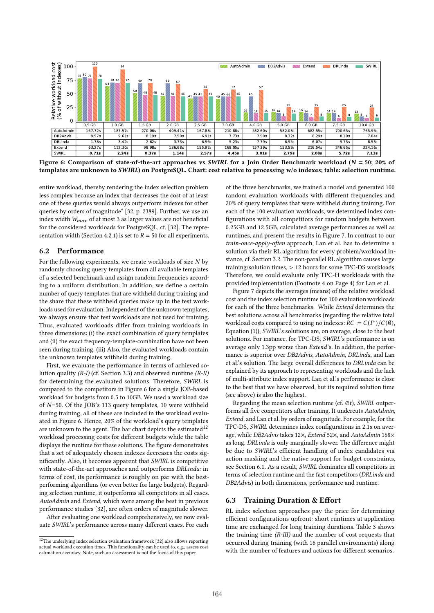

Figure 6: Comparison of state-of-the-art approaches vs SWIRL for a Join Order Benchmark workload ( $N = 50$ ; 20% of templates are unknown to SWIRL) on PostgreSQL. Chart: cost relative to processing w/o indexes; table: selection runtime.

entire workload, thereby rendering the index selection problem less complex because an index that decreases the cost of at least one of these queries would always outperform indexes for other queries by orders of magnitude" [32, p. 2389]. Further, we use an index width  $W_{max}$  of at most 3 as larger values are not beneficial for the considered workloads for PostgreSQL, cf. [32]. The representation width (Section 4.2.1) is set to  $R = 50$  for all experiments.

# 6.2 Performance

For the following experiments, we create workloads of size  $N$  by randomly choosing query templates from all available templates of a selected benchmark and assign random frequencies according to a uniform distribution. In addition, we define a certain number of query templates that are withheld during training and the share that these withheld queries make up in the test workloads used for evaluation. Independent of the unknown templates, we always ensure that test workloads are not used for training. Thus, evaluated workloads differ from training workloads in three dimensions: (i) the exact combination of query templates and (ii) the exact frequency-template-combination have not been seen during training. (iii) Also, the evaluated workloads contain the unknown templates withheld during training.

First, we evaluate the performance in terms of achieved solution quality  $(R-I)$  (cf. Section 3.3) and observed runtime  $(R-II)$ for determining the evaluated solutions. Therefore, SWIRL is compared to the competitors in Figure 6 for a single JOB-based workload for budgets from 0.5 to 10GB. We used a workload size of  $N=50$ . Of the JOB's 113 query templates, 10 were withheld during training, all of these are included in the workload evaluated in Figure 6. Hence, 20% of the workload's query templates are unknown to the agent. The bar chart depicts the estimated<sup>12</sup> workload processing costs for different budgets while the table displays the runtime for these solutions. The figure demonstrates that a set of adequately chosen indexes decreases the costs significantly. Also, it becomes apparent that SWIRL is competitive with state-of-the-art approaches and outperforms DRLinda: in terms of cost, its performance is roughly on par with the bestperforming algorithms (or even better for large budgets). Regarding selection runtime, it outperforms all competitors in all cases. AutoAdmin and Extend, which were among the best in previous performance studies [32], are often orders of magnitude slower.

After evaluating one workload comprehensively, we now evaluate SWIRL's performance across many different cases. For each

of the three benchmarks, we trained a model and generated 100 random evaluation workloads with different frequencies and 20% of query templates that were withheld during training. For each of the 100 evaluation workloads, we determined index configurations with all competitors for random budgets between 0.25GB and 12.5GB, calculated average performances as well as runtimes, and present the results in Figure 7. In contrast to our train-once-apply-often approach, Lan et al. has to determine a solution via their RL algorithm for every problem/workload instance, cf. Section 3.2. The non-parallel RL algorithm causes large training/solution times, > 12 hours for some TPC-DS workloads. Therefore, we could evaluate only TPC-H workloads with the provided implementation (Footnote 4 on Page 4) for Lan et al.

Figure 7 depicts the averages (means) of the relative workload cost and the index selection runtime for 100 evaluation workloads for each of the three benchmarks. While Extend determines the best solutions across all benchmarks (regarding the relative total workload costs compared to using no indexes:  $RC := C(I^*)/C(\emptyset)$ , Equation (1)), SWIRL's solutions are, on average, close to the best solutions. For instance, for TPC-DS, SWIRL's performance is on average only 1.3pp worse than Extend's. In addition, the performance is superior over DB2Advis, AutoAdmin, DRLinda, and Lan et al.'s solution. The large overall differences to DRLinda can be explained by its approach to representing workloads and the lack of multi-attribute index support. Lan et al.'s performance is close to the best that we have observed, but its required solution time (see above) is also the highest.

Regarding the mean selection runtime (cf.  $\varnothing t$ ), SWIRL outperforms all five competitors after training. It undercuts AutoAdmin, Extend, and Lan et al. by orders of magnitude. For example, for the TPC-DS, SWIRL determines index configurations in 2.1s on average, while DB2Advis takes 12×, Extend 52×, and AutoAdmin 168× as long. DRLinda is only marginally slower. The difference might be due to SWIRL's efficient handling of index candidates via action masking and the native support for budget constraints, see Section 6.1. As a result, SWIRL dominates all competitors in terms of selection runtime and the fast competitors (DRLinda and DB2Advis) in both dimensions, performance and runtime.

#### 6.3 Training Duration & Effort

RL index selection approaches pay the price for determining efficient configurations upfront: short runtimes at application time are exchanged for long training durations. Table 3 shows the training time (R-III) and the number of cost requests that occurred during training (with 16 parallel environments) along with the number of features and actions for different scenarios.

 $^{12}\mathrm{The}$  underlying index selection evaluation framework [32] also allows reporting actual workload execution times. This functionality can be used to, e.g., assess cost estimation accuracy. Note, such an assessment is not the focus of this paper.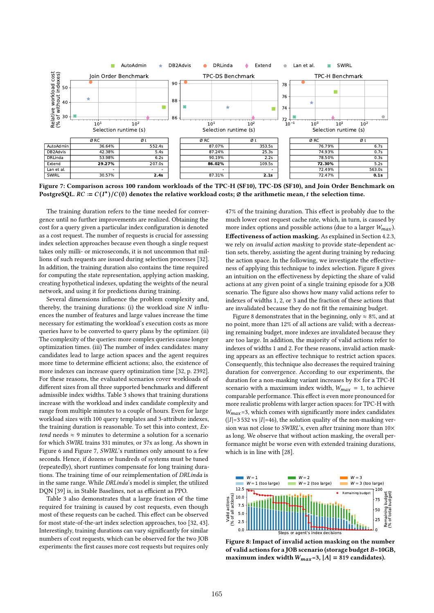

Figure 7: Comparison across 100 random workloads of the TPC-H (SF10), TPC-DS (SF10), and Join Order Benchmark on PostgreSQL. RC :=  $C(I^*)/C(\emptyset)$  denotes the relative workload costs; ∅ the arithmetic mean,  $t$  the selection time.

The training duration refers to the time needed for convergence until no further improvements are realized. Obtaining the cost for a query given a particular index configuration is denoted as a cost request. The number of requests is crucial for assessing index selection approaches because even though a single request takes only milli- or microseconds, it is not uncommon that millions of such requests are issued during selection processes [32]. In addition, the training duration also contains the time required for computing the state representation, applying action masking, creating hypothetical indexes, updating the weights of the neural network, and using it for predictions during training.

Several dimensions influence the problem complexity and, thereby, the training durations: (i) the workload size  $N$  influences the number of features and large values increase the time necessary for estimating the workload's execution costs as more queries have to be converted to query plans by the optimizer. (ii) The complexity of the queries: more complex queries cause longer optimization times. (iii) The number of index candidates: many candidates lead to large action spaces and the agent requires more time to determine efficient actions; also, the existence of more indexes can increase query optimization time [32, p. 2392]. For these reasons, the evaluated scenarios cover workloads of different sizes from all three supported benchmarks and different admissible index widths. Table 3 shows that training durations increase with the workload and index candidate complexity and range from multiple minutes to a couple of hours. Even for large workload sizes with 100 query templates and 3-attribute indexes, the training duration is reasonable. To set this into context, Extend needs  $\approx$  9 minutes to determine a solution for a scenario for which SWIRL trains 331 minutes, or 37x as long. As shown in Figure 6 and Figure 7, SWIRL's runtimes only amount to a few seconds. Hence, if dozens or hundreds of systems must be tuned (repeatedly), short runtimes compensate for long training durations. The training time of our reimplementation of DRLinda is in the same range. While DRLinda's model is simpler, the utilized DQN [39] is, in Stable Baselines, not as efficient as PPO.

Table 3 also demonstrates that a large fraction of the time required for training is caused by cost requests, even though most of these requests can be cached. This effect can be observed for most state-of-the-art index selection approaches, too [32, 43]. Interestingly, training durations can vary significantly for similar numbers of cost requests, which can be observed for the two JOB experiments: the first causes more cost requests but requires only

47% of the training duration. This effect is probably due to the much lower cost request cache rate, which, in turn, is caused by more index options and possible actions (due to a larger  $W_{max}$ ). Effectiveness of action masking. As explained in Section 4.2.3, we rely on invalid action masking to provide state-dependent action sets, thereby, assisting the agent during training by reducing the action space. In the following, we investigate the effectiveness of applying this technique to index selection. Figure 8 gives an intuition on the effectiveness by depicting the share of valid actions at any given point of a single training episode for a JOB scenario. The figure also shows how many valid actions refer to indexes of widths 1, 2, or 3 and the fraction of these actions that are invalidated because they do not fit the remaining budget.

Figure 8 demonstrates that in the beginning, only  $\approx 8\%$ , and at no point, more than 12% of all actions are valid; with a decreasing remaining budget, more indexes are invalidated because they are too large. In addition, the majority of valid actions refer to indexes of widths 1 and 2. For these reasons, invalid action masking appears as an effective technique to restrict action spaces. Consequently, this technique also decreases the required training duration for convergence. According to our experiments, the duration for a non-masking variant increases by 8× for a TPC-H scenario with a maximum index width,  $W_{max} = 1$ , to achieve comparable performance. This effect is even more pronounced for more realistic problems with larger action spaces: for TPC-H with  $W_{max}$ =3, which comes with significantly more index candidates  $(|I|=3532 \text{ vs } |I|=46)$ , the solution quality of the non-masking version was not close to SWIRL's, even after training more than  $10\times$ as long. We observe that without action masking, the overall performance might be worse even with extended training durations, which is in line with [28].



Figure 8: Impact of invalid action masking on the number of valid actions for a JOB scenario (storage budget  $B=10GB$ , maximum index width  $W_{max}=3$ ,  $|A| = 819$  candidates).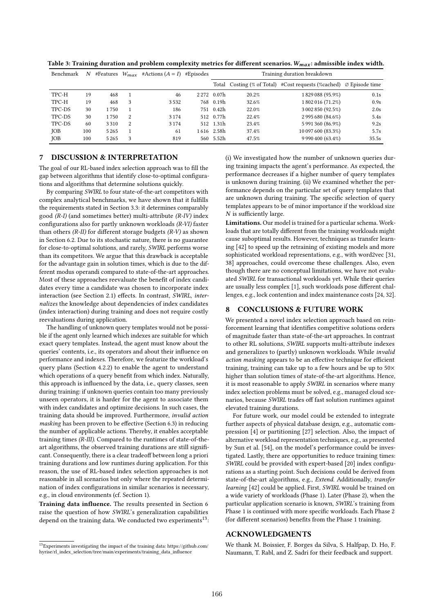| Benchmark  | N   |         |   | #Features $W_{max}$ #Actions $(A = I)$ #Episodes |         | Training duration breakdown |       |                                                                            |       |
|------------|-----|---------|---|--------------------------------------------------|---------|-----------------------------|-------|----------------------------------------------------------------------------|-------|
|            |     |         |   |                                                  |         |                             |       | Total Costing (% of Total) #Cost requests (%cached) $\oslash$ Episode time |       |
| TPC-H      | 19  | 468     |   | 46                                               | 2 2 7 2 | 0.07h                       | 20.2% | 1829088 (95.9%)                                                            | 0.1s  |
| TPC-H      | 19  | 468     | 3 | 3532                                             |         | 768 0.19h                   | 32.6% | 1 802 016 (71.2%)                                                          | 0.9s  |
| TPC-DS     | 30  | 1750    |   | 186                                              |         | 751 0.42h                   | 22.0% | 3 002 850 (92.5%)                                                          | 2.0s  |
| TPC-DS     | 30  | 1750    | 2 | 3 1 7 4                                          |         | 512 0.77h                   | 22.4% | 2 995 680 (84.6%)                                                          | 5.4s  |
| TPC-DS     | 60  | 3310    | 2 | 3 1 7 4                                          |         | 512 1.31h                   | 23.4% | 5 991 360 (86.9%)                                                          | 9.2s  |
| <b>JOB</b> | 100 | 5 2 6 5 |   | 61                                               |         | 1616 2.58h                  | 37.4% | 10 097 600 (83.3%)                                                         | 5.7s  |
| JOB        | 100 | 5 2 6 5 | 3 | 819                                              |         | 560 5.52h                   | 47.5% | 9 990 400 (63.4%)                                                          | 35.5s |

Table 3: Training duration and problem complexity metrics for different scenarios.  $W_{max}$ : admissible index width.

## 7 DISCUSSION & INTERPRETATION

The goal of our RL-based index selection approach was to fill the gap between algorithms that identify close-to-optimal configurations and algorithms that determine solutions quickly.

By comparing SWIRL to four state-of-the-art competitors with complex analytical benchmarks, we have shown that it fulfills the requirements stated in Section 3.3: it determines comparably good  $(R-I)$  (and sometimes better) multi-attribute  $(R-IV)$  index configurations also for partly unknown workloads (R-VI) faster than others  $(R-H)$  for different storage budgets  $(R-V)$  as shown in Section 6.2. Due to its stochastic nature, there is no guarantee for close-to-optimal solutions, and rarely, SWIRL performs worse than its competitors. We argue that this drawback is acceptable for the advantage gain in solution times, which is due to the different modus operandi compared to state-of-the-art approaches. Most of these approaches reevaluate the benefit of index candidates every time a candidate was chosen to incorporate index interaction (see Section 2.1) effects. In contrast, SWIRL, internalizes the knowledge about dependencies of index candidates (index interaction) during training and does not require costly reevaluations during application.

The handling of unknown query templates would not be possible if the agent only learned which indexes are suitable for which exact query templates. Instead, the agent must know about the queries' contents, i.e., its operators and about their influence on performance and indexes. Therefore, we featurize the workload's query plans (Section 4.2.2) to enable the agent to understand which operations of a query benefit from which index. Naturally, this approach is influenced by the data, i.e., query classes, seen during training: if unknown queries contain too many previously unseen operators, it is harder for the agent to associate them with index candidates and optimize decisions. In such cases, the training data should be improved. Furthermore, invalid action masking has been proven to be effective (Section 6.3) in reducing the number of applicable actions. Thereby, it enables acceptable training times (R-III). Compared to the runtimes of state-of-theart algorithms, the observed training durations are still significant. Consequently, there is a clear tradeoff between long a priori training durations and low runtimes during application. For this reason, the use of RL-based index selection approaches is not reasonable in all scenarios but only where the repeated determination of index configurations in similar scenarios is necessary, e.g., in cloud environments (cf. Section 1).

Training data influence. The results presented in Section 6 raise the question of how SWIRL's generalization capabilities depend on the training data. We conducted two experiments $^{13}$ :

(i) We investigated how the number of unknown queries during training impacts the agent's performance. As expected, the performance decreases if a higher number of query templates is unknown during training. (ii) We examined whether the performance depends on the particular set of query templates that are unknown during training. The specific selection of query templates appears to be of minor importance if the workload size  $N$  is sufficiently large.

Limitations. Our model is trained for a particular schema. Workloads that are totally different from the training workloads might cause suboptimal results. However, techniques as transfer learning [42] to speed up the retraining of existing models and more sophisticated workload representations, e.g., with word2vec [31, 38] approaches, could overcome these challenges. Also, even though there are no conceptual limitations, we have not evaluated SWIRL for transactional workloads yet. While their queries are usually less complex [1], such workloads pose different challenges, e.g., lock contention and index maintenance costs [24, 32].

## 8 CONCLUSIONS & FUTURE WORK

We presented a novel index selection approach based on reinforcement learning that identifies competitive solutions orders of magnitude faster than state-of-the-art approaches. In contrast to other RL solutions, SWIRL supports multi-attribute indexes and generalizes to (partly) unknown workloads. While invalid action masking appears to be an effective technique for efficient training, training can take up to a few hours and be up to 50× higher than solution times of state-of-the-art algorithms. Hence, it is most reasonable to apply SWIRL in scenarios where many index selection problems must be solved, e.g., managed cloud scenarios, because SWIRL trades off fast solution runtimes against elevated training durations.

For future work, our model could be extended to integrate further aspects of physical database design, e.g., automatic compression [4] or partitioning [27] selection. Also, the impact of alternative workload representation techniques, e.g., as presented by Sun et al. [54], on the model's performance could be investigated. Lastly, there are opportunities to reduce training times: SWIRL could be provided with expert-based [20] index configurations as a starting point. Such decisions could be derived from state-of-the-art algorithms, e.g., Extend. Additionally, transfer learning [42] could be applied. First, SWIRL would be trained on a wide variety of workloads (Phase 1). Later (Phase 2), when the particular application scenario is known, SWIRL's training from Phase 1 is continued with more specific workloads. Each Phase 2 (for different scenarios) benefits from the Phase 1 training.

# ACKNOWLEDGMENTS

We thank M. Boissier, F. Borges da Silva, S. Halfpap, D. Ho, F. Naumann, T. Rabl, and Z. Sadri for their feedback and support.

 $13$ Experiments investigating the impact of the training data: https://github.com/ hyrise/rl\_index\_selection/tree/main/experiments/training\_data\_influence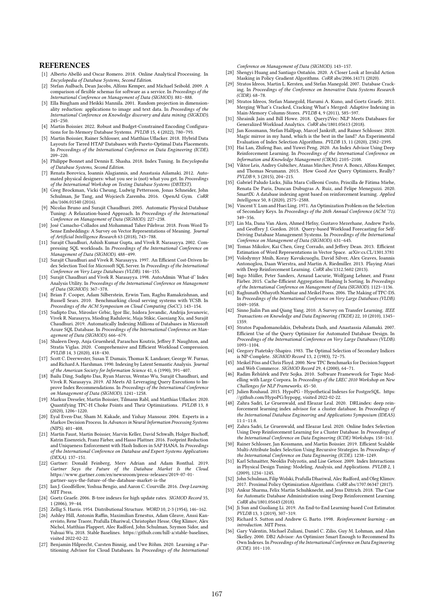#### **REFERENCES**

- [1] Alberto Abelló and Oscar Romero. 2018. Online Analytical Processing. In Encyclopedia of Database Systems, Second Edition.
- [2] Stefan Aulbach, Dean Jacobs, Alfons Kemper, and Michael Seibold. 2009. A comparison of flexible schemas for software as a service. In Proceedings of the International Conference on Management of Data (SIGMOD). 881–888.
- [3] Ella Bingham and Heikki Mannila. 2001. Random projection in dimensionality reduction: applications to image and text data. In Proceedings of the International Conference on Knowledge discovery and data mining (SIGKDD). 245–250.
- [4] Martin Boissier. 2022. Robust and Budget-Constrained Encoding Configurations for In-Memory Database Systems. PVLDB 15, 4 (2022), 780–793.
- [5] Martin Boissier, Rainer Schlosser, and Matthias Uflacker. 2018. Hybrid Data Layouts for Tiered HTAP Databases with Pareto-Optimal Data Placements. In Proceedings of the International Conference on Data Engineering (ICDE). 209–220.
- [6] Philippe Bonnet and Dennis E. Shasha. 2018. Index Tuning. In Encyclopedia of Database Systems, Second Edition.
- [7] Renata Borovica, Ioannis Alagiannis, and Anastasia Ailamaki. 2012. Automated physical designers: what you see is (not) what you get. In Proceedings of the International Workshop on Testing Database Systems (DBTEST).
- [8] Greg Brockman, Vicki Cheung, Ludwig Pettersson, Jonas Schneider, John Schulman, Jie Tang, and Wojciech Zaremba. 2016. OpenAI Gym. CoRR abs/1606.01540 (2016).
- [9] Nicolas Bruno and Surajit Chaudhuri. 2005. Automatic Physical Database Tuning: A Relaxation-based Approach. In Proceedings of the International Conference on Management of Data (SIGMOD). 227–238.
- [10] José Camacho-Collados and Mohammad Taher Pilehvar. 2018. From Word To Sense Embeddings: A Survey on Vector Representations of Meaning. Journal of Artificial Intelligence Research 63 (2018), 743–788.
- [11] Surajit Chaudhuri, Ashish Kumar Gupta, and Vivek R. Narasayya. 2002. Compressing SQL workloads. In Proceedings of the International Conference on Management of Data (SIGMOD). 488–499.
- [12] Surajit Chaudhuri and Vivek R. Narasayya. 1997. An Efficient Cost-Driven Index Selection Tool for Microsoft SQL Server. In Proceedings of the International Conference on Very Large Databases (VLDB). 146–155.
- [13] Surajit Chaudhuri and Vivek R. Narasayya. 1998. AutoAdmin 'What-if' Index Analysis Utility. In Proceedings of the International Conference on Management of Data (SIGMOD). 367–378.
- [14] Brian F. Cooper, Adam Silberstein, Erwin Tam, Raghu Ramakrishnan, and Russell Sears. 2010. Benchmarking cloud serving systems with YCSB. In Proceedings of the ACM Symposium on Cloud Computing (SoCC). 143–154.
- [15] Sudipto Das, Miroslav Grbic, Igor Ilic, Isidora Jovandic, Andrija Jovanovic, Vivek R. Narasayya, Miodrag Radulovic, Maja Stikic, Gaoxiang Xu, and Surajit Chaudhuri. 2019. Automatically Indexing Millions of Databases in Microsoft Azure SQL Database. In Proceedings of the International Conference on Management of Data (SIGMOD). 666–679.
- [16] Shaleen Deep, Anja Gruenheid, Paraschos Koutris, Jeffrey F. Naughton, and Stratis Viglas. 2020. Comprehensive and Efficient Workload Compression. PVLDB 14, 3 (2020), 418–430.
- [17] Scott C. Deerwester, Susan T. Dumais, Thomas K. Landauer, George W. Furnas, and Richard A. Harshman. 1990. Indexing by Latent Semantic Analysis. Journal of the American Society for Information Science 41, 6 (1990), 391–407.
- [18] Bailu Ding, Sudipto Das, Ryan Marcus, Wentao Wu, Surajit Chaudhuri, and Vivek R. Narasayya. 2019. AI Meets AI: Leveraging Query Executions to Improve Index Recommendations. In Proceedings of the International Conference on Management of Data (SIGMOD). 1241–1258.
- [19] Markus Dreseler, Martin Boissier, Tilmann Rabl, and Matthias Uflacker. 2020. Quantifying TPC-H Choke Points and Their Optimizations. PVLDB 13, 8  $(2020)$ ,  $1206 - 1220$ .
- [20] Eyal Even-Dar, Sham M. Kakade, and Yishay Mansour. 2004. Experts in a Markov Decision Process. In Advances in Neural Information Processing Systems (NIPS). 401–408.
- [21] Martin Faust, Martin Boissier, Marvin Keller, David Schwalb, Holger Bischoff, Katrin Eisenreich, Franz Färber, and Hasso Plattner. 2016. Footprint Reduction and Uniqueness Enforcement with Hash Indices in SAP HANA. In Proceedings of the International Conference on Database and Expert Systems Applications (DEXA). 137–151.
- [22] Gartner: Donald Feinberg, Merv Adrian and Adam Ronthal. 2019. Gartner Says the Future of the Database Market Is the Cloud. https://www.gartner.com/en/newsroom/press-releases/2019-07-01- gartner-says-the-future-of-the-database-market-is-the
- [23] Ian J. Goodfellow, Yoshua Bengio, and Aaron C. Courville. 2016. Deep Learning. MIT Press.
- [24] Goetz Graefe. 2006. B-tree indexes for high update rates. SIGMOD Record 35, 1 (2006), 39–44.
- [25] Zellig S. Harris. 1954. Distributional Structure. WORD 10, 2-3 (1954), 146–162. [26] Ashley Hill, Antonin Raffin, Maximilian Ernestus, Adam Gleave, Anssi Kan-
- ervisto, Rene Traore, Prafulla Dhariwal, Christopher Hesse, Oleg Klimov, Alex Nichol, Matthias Plappert, Alec Radford, John Schulman, Szymon Sidor, and Yuhuai Wu. 2018. Stable Baselines. https://github.com/hill-a/stable-baselines, visited 2022-02-22.
- [27] Benjamin Hilprecht, Carsten Binnig, and Uwe Röhm. 2020. Learning a Partitioning Advisor for Cloud Databases. In Proceedings of the International

Conference on Management of Data (SIGMOD). 143–157.

- [28] Shengyi Huang and Santiago Ontañón. 2020. A Closer Look at Invalid Action Masking in Policy Gradient Algorithms. CoRR abs/2006.14171 (2020).
- [29] Stratos Idreos, Martin L. Kersten, and Stefan Manegold. 2007. Database Cracking. In Proceedings of the Conference on Innovative Data Systems Research (CIDR). 68–78.
- [30] Stratos Idreos, Stefan Manegold, Harumi A. Kuno, and Goetz Graefe. 2011. Merging What's Cracked, Cracking What's Merged: Adaptive Indexing in Main-Memory Column-Stores. PVLDB 4, 9 (2011), 585–597.
- [31] Shrainik Jain and Bill Howe. 2018. Query2Vec: NLP Meets Databases for Generalized Workload Analytics. CoRR abs/1801.05613 (2018).
- Jan Kossmann, Stefan Halfpap, Marcel Jankrift, and Rainer Schlosser. 2020 Magic mirror in my hand, which is the best in the land? An Experimental Evaluation of Index Selection Algorithms. PVLDB 13, 11 (2020), 2382–2395.
- [33] Hai Lan, Zhifeng Bao, and Yuwei Peng. 2020. An Index Advisor Using Deep Reinforcement Learning. In Proceedings of the International Conference on Information and Knowledge Management (CIKM). 2105–2108.
- [34] Viktor Leis, Andrey Gubichev, Atanas Mirchev, Peter A. Boncz, Alfons Kemper, and Thomas Neumann. 2015. How Good Are Query Optimizers, Really? PVLDB 9, 3 (2015), 204–215.
- [35] Gabriel Paludo Licks, Júlia Mara Colleoni Couto, Priscilla de Fátima Miehe, Renata De Paris, Duncan Dubugras A. Ruiz, and Felipe Meneguzzi. 2020. SmartIX: A database indexing agent based on reinforcement learning. Applied Intelligence 50, 8 (2020), 2575–2588.
- [36] Vincent Y. Lum and Huei Ling. 1971. An Optimization Problem on the Selection of Secondary Keys. In Proceedings of the 26th Annual Conference (ACM '71). 349–356.
- [37] Lin Ma, Dana Van Aken, Ahmed Hefny, Gustavo Mezerhane, Andrew Pavlo, and Geoffrey J. Gordon. 2018. Query-based Workload Forecasting for Self-Driving Database Management Systems. In Proceedings of the International Conference on Management of Data (SIGMOD). 631–645.
- [38] Tomas Mikolov, Kai Chen, Greg Corrado, and Jeffrey Dean. 2013. Efficient Estimation of Word Representations in Vector Space. arXiv:cs.CL/1301.3781
- [39] Volodymyr Mnih, Koray Kavukcuoglu, David Silver, Alex Graves, Ioannis Antonoglou, Daan Wierstra, and Martin A. Riedmiller. 2013. Playing Atari with Deep Reinforcement Learning. CoRR abs/1312.5602 (2013).
- [40] Ingo Müller, Peter Sanders, Arnaud Lacurie, Wolfgang Lehner, and Franz Färber. 2015. Cache-Efficient Aggregation: Hashing Is Sorting. In Proceedings of the International Conference on Management of Data (SIGMOD). 1123–1136.
- [41] Raghunath Othayoth Nambiar and Meikel Poess. 2006. The Making of TPC-DS In Proceedings of the International Conference on Very Large Databases (VLDB). 1049–1058.
- [42] Sinno Jialin Pan and Qiang Yang. 2010. A Survey on Transfer Learning. IEEE Transactions on Knowledge and Data Engineering (TKDE) 22, 10 (2010), 1345– 1359.
- [43] Stratos Papadomanolakis, Debabrata Dash, and Anastassia Ailamaki. 2007. Efficient Use of the Query Optimizer for Automated Database Design. In Proceedings of the International Conference on Very Large Databases (VLDB). 1093–1104.
- [44] Gregory Piatetsky-Shapiro. 1983. The Optimal Selection of Secondary Indices is NP-Complete. SIGMOD Record 13, 2 (1983), 72–75.
- [45] Meikel Pöss and Chris Floyd. 2000. New TPC Benchmarks for Decision Support and Web Commerce. SIGMOD Record 29, 4 (2000), 64–71.
- [46] Radim Řehůřek and Petr Sojka. 2010. Software Framework for Topic Modelling with Large Corpora. In Proceedings of the LREC 2010 Workshop on New Challenges for NLP Frameworks. 45–50.
- [47] Julien Rouhaud. 2015. HypoPG Hypothetical Indexes for PostgreSQL. https: //github.com/HypoPG/hypopg, visited 2022-02-22.
- [48] Zahra Sadri, Le Gruenwald, and Eleazar Leal. 2020. DRLindex: deep reinforcement learning index advisor for a cluster database. In Proceedings of the International Database Engineering and Applications Symposium (IDEAS). 11:1–11:8.
- [49] Zahra Sadri, Le Gruenwald, and Eleazar Leal. 2020. Online Index Selection Using Deep Reinforcement Learning for a Cluster Database. In Proceedings of the International Conference on Data Engineering (ICDE) Workshops. 158–161.
- [50] Rainer Schlosser, Jan Kossmann, and Martin Boissier. 2019. Efficient Scalable Multi-Attribute Index Selection Using Recursive Strategies. In Proceedings of the International Conference on Data Engineering (ICDE). 1238–1249.
- Karl Schnaitter, Neoklis Polyzotis, and Lise Getoor. 2009. Index Interactions in Physical Design Tuning: Modeling, Analysis, and Applications. PVLDB 2, 1 (2009), 1234–1245.
- [52] John Schulman, Filip Wolski, Prafulla Dhariwal, Alec Radford, and Oleg Klimov. 2017. Proximal Policy Optimization Algorithms. CoRR abs/1707.06347 (2017).
- Ankur Sharma, Felix Martin Schuhknecht, and Jens Dittrich. 2018. The Case for Automatic Database Administration using Deep Reinforcement Learning. CoRR abs/1801.05643 (2018).
- [54] Ji Sun and Guoliang Li. 2019. An End-to-End Learning-based Cost Estimator. PVLDB 13, 3 (2019), 307–319.
- [55] Richard S. Sutton and Andrew G. Barto. 1998. Reinforcement learning an introduction. MIT Press.
- [56] Gary Valentin, Michael Zuliani, Daniel C. Zilio, Guy M. Lohman, and Alan Skelley. 2000. DB2 Advisor: An Optimizer Smart Enough to Recommend Its Own Indexes. In Proceedings of the International Conference on Data Engineering (ICDE). 101–110.